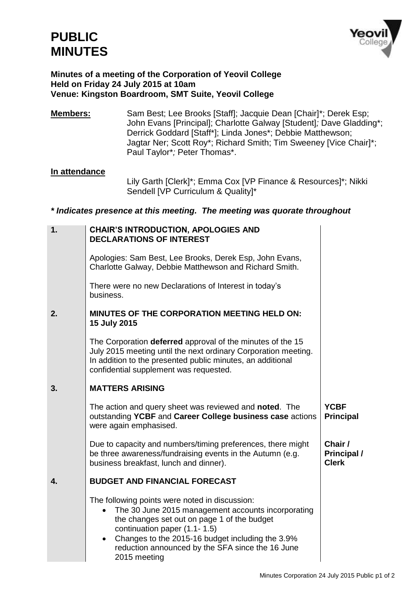

#### **Minutes of a meeting of the Corporation of Yeovil College Held on Friday 24 July 2015 at 10am Venue: Kingston Boardroom, SMT Suite, Yeovil College**

**Members:** Sam Best; Lee Brooks [Staff]; Jacquie Dean [Chair]\*; Derek Esp; John Evans [Principal]; Charlotte Galway [Student]*;* Dave Gladding\*; Derrick Goddard [Staff\*]; Linda Jones\*; Debbie Matthewson; Jagtar Ner; Scott Roy\*; Richard Smith; Tim Sweeney [Vice Chair]\*; Paul Taylor\**;* Peter Thomas\*.

### **In attendance**

Lily Garth [Clerk]\*; Emma Cox [VP Finance & Resources]\*; Nikki Sendell [VP Curriculum & Quality]\*

#### *\* Indicates presence at this meeting. The meeting was quorate throughout*

| 1. | <b>CHAIR'S INTRODUCTION, APOLOGIES AND</b><br><b>DECLARATIONS OF INTEREST</b>                                                                                                                                                                                                                                                         |                                        |
|----|---------------------------------------------------------------------------------------------------------------------------------------------------------------------------------------------------------------------------------------------------------------------------------------------------------------------------------------|----------------------------------------|
|    | Apologies: Sam Best, Lee Brooks, Derek Esp, John Evans,<br>Charlotte Galway, Debbie Matthewson and Richard Smith.                                                                                                                                                                                                                     |                                        |
|    | There were no new Declarations of Interest in today's<br>business.                                                                                                                                                                                                                                                                    |                                        |
| 2. | <b>MINUTES OF THE CORPORATION MEETING HELD ON:</b><br>15 July 2015                                                                                                                                                                                                                                                                    |                                        |
|    | The Corporation deferred approval of the minutes of the 15<br>July 2015 meeting until the next ordinary Corporation meeting.<br>In addition to the presented public minutes, an additional<br>confidential supplement was requested.                                                                                                  |                                        |
| 3. | <b>MATTERS ARISING</b>                                                                                                                                                                                                                                                                                                                |                                        |
|    | The action and query sheet was reviewed and <b>noted</b> . The<br>outstanding YCBF and Career College business case actions<br>were again emphasised.                                                                                                                                                                                 | <b>YCBF</b><br><b>Principal</b>        |
|    | Due to capacity and numbers/timing preferences, there might<br>be three awareness/fundraising events in the Autumn (e.g.<br>business breakfast, lunch and dinner).                                                                                                                                                                    | Chair /<br>Principal /<br><b>Clerk</b> |
| 4. | <b>BUDGET AND FINANCIAL FORECAST</b>                                                                                                                                                                                                                                                                                                  |                                        |
|    | The following points were noted in discussion:<br>The 30 June 2015 management accounts incorporating<br>$\bullet$<br>the changes set out on page 1 of the budget<br>continuation paper (1.1-1.5)<br>Changes to the 2015-16 budget including the 3.9%<br>$\bullet$<br>reduction announced by the SFA since the 16 June<br>2015 meeting |                                        |